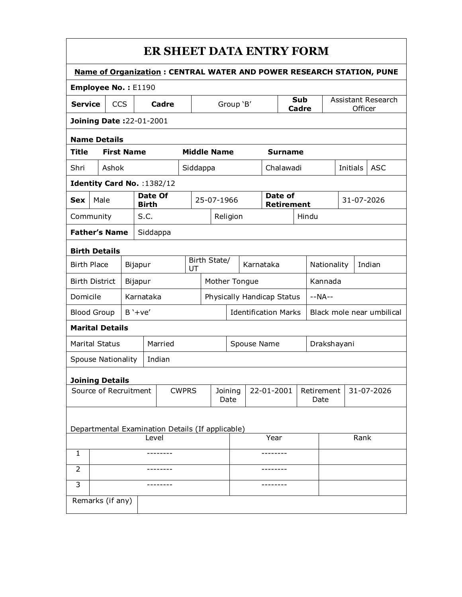| ER SHEET DATA ENTRY FORM |  |
|--------------------------|--|
|--------------------------|--|

| <b>Name of Organization: CENTRAL WATER AND POWER RESEARCH STATION, PUNE</b> |                  |                           |                             |                         |                                                  |              |                             |                     |          |            |                               |                              |                    |  |                       |                        |  |
|-----------------------------------------------------------------------------|------------------|---------------------------|-----------------------------|-------------------------|--------------------------------------------------|--------------|-----------------------------|---------------------|----------|------------|-------------------------------|------------------------------|--------------------|--|-----------------------|------------------------|--|
| Employee No.: E1190                                                         |                  |                           |                             |                         |                                                  |              |                             |                     |          |            |                               |                              |                    |  |                       |                        |  |
| <b>Service</b>                                                              | CCS<br>Cadre     |                           |                             | Group 'B'               |                                                  |              |                             | Sub<br><b>Cadre</b> |          |            | Assistant Research<br>Officer |                              |                    |  |                       |                        |  |
|                                                                             |                  |                           | Joining Date: 22-01-2001    |                         |                                                  |              |                             |                     |          |            |                               |                              |                    |  |                       |                        |  |
| <b>Name Details</b>                                                         |                  |                           |                             |                         |                                                  |              |                             |                     |          |            |                               |                              |                    |  |                       |                        |  |
| <b>Title</b>                                                                |                  |                           | <b>First Name</b>           |                         |                                                  |              |                             | <b>Middle Name</b>  |          |            |                               | <b>Surname</b>               |                    |  |                       |                        |  |
| Shri                                                                        |                  | Ashok                     |                             |                         |                                                  | Siddappa     |                             |                     |          |            |                               | Chalawadi                    |                    |  |                       | <b>ASC</b><br>Initials |  |
|                                                                             |                  |                           | Identity Card No. : 1382/12 |                         |                                                  |              |                             |                     |          |            |                               |                              |                    |  |                       |                        |  |
| <b>Sex</b>                                                                  |                  | Male                      |                             | Date Of<br><b>Birth</b> |                                                  |              |                             | 25-07-1966          |          |            |                               | Date of<br><b>Retirement</b> |                    |  | 31-07-2026            |                        |  |
| Community                                                                   |                  |                           |                             | S.C.                    |                                                  |              |                             |                     | Religion |            |                               |                              | Hindu              |  |                       |                        |  |
|                                                                             |                  | <b>Father's Name</b>      |                             |                         | Siddappa                                         |              |                             |                     |          |            |                               |                              |                    |  |                       |                        |  |
| <b>Birth Details</b>                                                        |                  |                           |                             |                         |                                                  |              |                             |                     |          |            |                               |                              |                    |  |                       |                        |  |
| <b>Birth Place</b>                                                          |                  |                           | Bijapur                     |                         |                                                  |              | Birth State/<br>UT          |                     |          | Karnataka  |                               |                              |                    |  | Nationality<br>Indian |                        |  |
| <b>Birth District</b>                                                       |                  |                           | Bijapur                     |                         |                                                  |              | Mother Tongue               |                     |          |            |                               |                              | Kannada            |  |                       |                        |  |
| Domicile                                                                    |                  |                           | Karnataka                   |                         |                                                  |              | Physically Handicap Status  |                     |          |            |                               | $-NA-$                       |                    |  |                       |                        |  |
| <b>Blood Group</b>                                                          |                  |                           | $B' + ve'$                  |                         |                                                  |              | <b>Identification Marks</b> |                     |          |            |                               | Black mole near umbilical    |                    |  |                       |                        |  |
|                                                                             |                  | <b>Marital Details</b>    |                             |                         |                                                  |              |                             |                     |          |            |                               |                              |                    |  |                       |                        |  |
| <b>Marital Status</b>                                                       |                  |                           |                             |                         | Married                                          |              | Spouse Name                 |                     |          |            |                               | Drakshayani                  |                    |  |                       |                        |  |
|                                                                             |                  | <b>Spouse Nationality</b> |                             |                         | Indian                                           |              |                             |                     |          |            |                               |                              |                    |  |                       |                        |  |
|                                                                             |                  | <b>Joining Details</b>    |                             |                         |                                                  |              |                             |                     |          |            |                               |                              |                    |  |                       |                        |  |
|                                                                             |                  |                           | Source of Recruitment       |                         |                                                  | <b>CWPRS</b> | Joining<br>Date             |                     |          | 22-01-2001 |                               |                              | Retirement<br>Date |  | 31-07-2026            |                        |  |
|                                                                             |                  |                           |                             |                         |                                                  |              |                             |                     |          |            |                               |                              |                    |  |                       |                        |  |
|                                                                             |                  |                           |                             |                         | Departmental Examination Details (If applicable) |              |                             |                     |          |            |                               |                              |                    |  |                       | Rank                   |  |
| 1                                                                           | Level            |                           |                             |                         |                                                  |              |                             |                     | Year     |            |                               |                              |                    |  |                       |                        |  |
|                                                                             |                  |                           |                             |                         |                                                  |              |                             |                     |          |            |                               |                              |                    |  |                       |                        |  |
| 2                                                                           |                  |                           |                             |                         |                                                  |              |                             |                     |          |            |                               |                              |                    |  |                       |                        |  |
| 3                                                                           |                  |                           |                             |                         |                                                  |              |                             |                     |          |            |                               |                              |                    |  |                       |                        |  |
|                                                                             | Remarks (if any) |                           |                             |                         |                                                  |              |                             |                     |          |            |                               |                              |                    |  |                       |                        |  |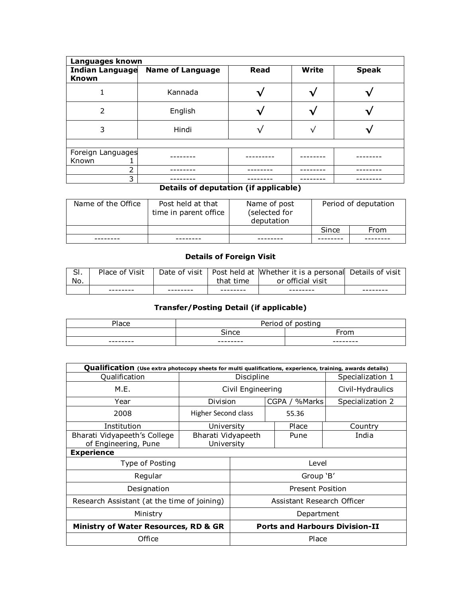| Languages known   |                                  |              |       |              |  |  |  |  |  |  |
|-------------------|----------------------------------|--------------|-------|--------------|--|--|--|--|--|--|
| <b>Known</b>      | Indian Language Name of Language | <b>Read</b>  | Write | <b>Speak</b> |  |  |  |  |  |  |
|                   | Kannada                          |              |       |              |  |  |  |  |  |  |
| 2                 | English                          |              |       |              |  |  |  |  |  |  |
| 3                 | Hindi                            |              |       |              |  |  |  |  |  |  |
|                   |                                  |              |       |              |  |  |  |  |  |  |
| Foreign Languages |                                  |              |       |              |  |  |  |  |  |  |
| Known             |                                  |              |       |              |  |  |  |  |  |  |
| っ                 |                                  |              |       |              |  |  |  |  |  |  |
| 3                 | .                                | $- - -$<br>. |       |              |  |  |  |  |  |  |

## **Details of deputation (if applicable)**

| Name of the Office | Post held at that<br>time in parent office | Name of post<br>(selected for<br>deputation | Period of deputation |      |  |  |
|--------------------|--------------------------------------------|---------------------------------------------|----------------------|------|--|--|
|                    |                                            |                                             | Since                | From |  |  |
|                    |                                            |                                             |                      |      |  |  |

## **Details of Foreign Visit**

| c   | Place of Visit | Date of visit |           | Post held at Whether it is a personal Details of visit |  |
|-----|----------------|---------------|-----------|--------------------------------------------------------|--|
| No. |                |               | that time | or official visit                                      |  |
|     | --------       |               |           |                                                        |  |

## **Transfer/Posting Detail (if applicable)**

| $\overline{ }$<br>ace | $D = \frac{1}{2}$<br>~- | $\cdot$ .<br>$\mathbf{r}$<br>- |
|-----------------------|-------------------------|--------------------------------|
|                       | .                       | $\sim$                         |
| ---------             | ---------<br>_____      | --------                       |

| Qualification (Use extra photocopy sheets for multi qualifications, experience, training, awards details) |                     |                                       |               |                  |  |  |  |  |  |  |
|-----------------------------------------------------------------------------------------------------------|---------------------|---------------------------------------|---------------|------------------|--|--|--|--|--|--|
| Qualification                                                                                             |                     | Discipline                            |               | Specialization 1 |  |  |  |  |  |  |
| M.E.                                                                                                      |                     | Civil Engineering                     |               | Civil-Hydraulics |  |  |  |  |  |  |
| Year                                                                                                      | Division            |                                       | CGPA / %Marks | Specialization 2 |  |  |  |  |  |  |
| 2008                                                                                                      | Higher Second class |                                       |               |                  |  |  |  |  |  |  |
| Institution                                                                                               | University          |                                       | Place         | Country          |  |  |  |  |  |  |
| Bharati Vidyapeeth's College                                                                              | Bharati Vidyapeeth  |                                       | Pune          | India            |  |  |  |  |  |  |
| of Engineering, Pune                                                                                      | University          |                                       |               |                  |  |  |  |  |  |  |
| <b>Experience</b>                                                                                         |                     |                                       |               |                  |  |  |  |  |  |  |
| Type of Posting                                                                                           |                     | Level                                 |               |                  |  |  |  |  |  |  |
| Regular                                                                                                   |                     | Group 'B'                             |               |                  |  |  |  |  |  |  |
| Designation                                                                                               |                     | <b>Present Position</b>               |               |                  |  |  |  |  |  |  |
| Research Assistant (at the time of joining)                                                               |                     | Assistant Research Officer            |               |                  |  |  |  |  |  |  |
| Ministry                                                                                                  |                     | Department                            |               |                  |  |  |  |  |  |  |
| <b>Ministry of Water Resources, RD &amp; GR</b>                                                           |                     | <b>Ports and Harbours Division-II</b> |               |                  |  |  |  |  |  |  |
| Office                                                                                                    |                     | Place                                 |               |                  |  |  |  |  |  |  |